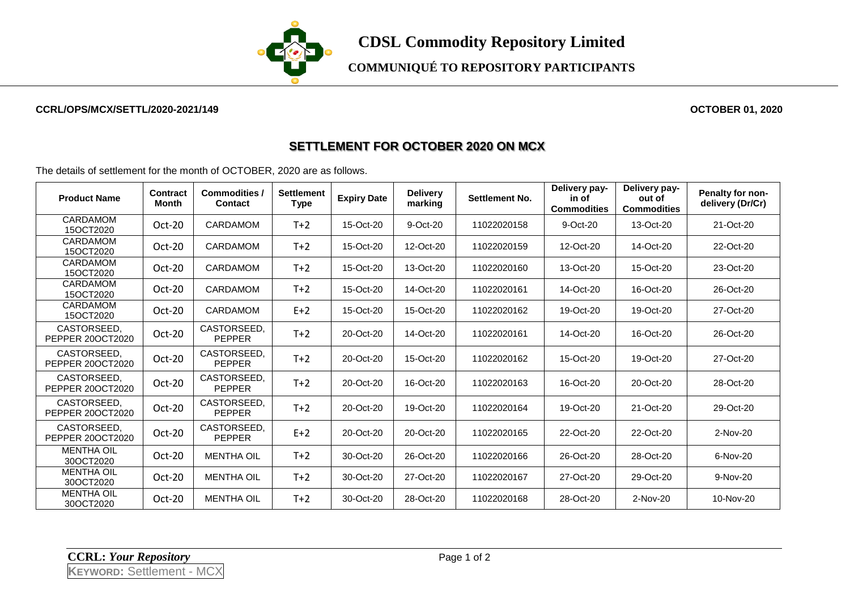

**COMMUNIQUÉ TO REPOSITORY PARTICIPANTS**

## **CCRL/OPS/MCX/SETTL/2020-2021/149 OCTOBER 01, 2020**

## **SETTLEMENT FOR OCTOBER 2020 ON MCX**

The details of settlement for the month of OCTOBER, 2020 are as follows.

| <b>Product Name</b>             | <b>Contract</b><br>Month | Commodities /<br><b>Contact</b> | <b>Settlement</b><br>Type | <b>Expiry Date</b> | <b>Delivery</b><br>marking | Settlement No. | Delivery pay-<br>in of<br><b>Commodities</b> | Delivery pay-<br>out of<br><b>Commodities</b> | Penalty for non-<br>delivery (Dr/Cr) |
|---------------------------------|--------------------------|---------------------------------|---------------------------|--------------------|----------------------------|----------------|----------------------------------------------|-----------------------------------------------|--------------------------------------|
| CARDAMOM<br>15OCT2020           | Oct-20                   | <b>CARDAMOM</b>                 | $T+2$                     | 15-Oct-20          | 9-Oct-20                   | 11022020158    | 9-Oct-20                                     | 13-Oct-20                                     | 21-Oct-20                            |
| CARDAMOM<br>15OCT2020           | Oct-20                   | <b>CARDAMOM</b>                 | $T+2$                     | 15-Oct-20          | 12-Oct-20                  | 11022020159    | 12-Oct-20                                    | 14-Oct-20                                     | 22-Oct-20                            |
| CARDAMOM<br>15OCT2020           | $Oct-20$                 | <b>CARDAMOM</b>                 | $T+2$                     | 15-Oct-20          | 13-Oct-20                  | 11022020160    | 13-Oct-20                                    | 15-Oct-20                                     | 23-Oct-20                            |
| CARDAMOM<br>15OCT2020           | $Oct-20$                 | <b>CARDAMOM</b>                 | $T+2$                     | 15-Oct-20          | 14-Oct-20                  | 11022020161    | 14-Oct-20                                    | 16-Oct-20                                     | 26-Oct-20                            |
| CARDAMOM<br>15OCT2020           | $Oct-20$                 | <b>CARDAMOM</b>                 | $E+2$                     | 15-Oct-20          | 15-Oct-20                  | 11022020162    | 19-Oct-20                                    | 19-Oct-20                                     | 27-Oct-20                            |
| CASTORSEED.<br>PEPPER 200CT2020 | Oct-20                   | CASTORSEED.<br><b>PEPPER</b>    | $T+2$                     | 20-Oct-20          | 14-Oct-20                  | 11022020161    | 14-Oct-20                                    | 16-Oct-20                                     | 26-Oct-20                            |
| CASTORSEED.<br>PEPPER 20OCT2020 | Oct-20                   | CASTORSEED,<br><b>PEPPER</b>    | $T+2$                     | 20-Oct-20          | 15-Oct-20                  | 11022020162    | 15-Oct-20                                    | 19-Oct-20                                     | 27-Oct-20                            |
| CASTORSEED,<br>PEPPER 20OCT2020 | Oct-20                   | CASTORSEED.<br><b>PEPPER</b>    | $T+2$                     | 20-Oct-20          | 16-Oct-20                  | 11022020163    | 16-Oct-20                                    | 20-Oct-20                                     | 28-Oct-20                            |
| CASTORSEED.<br>PEPPER 200CT2020 | Oct-20                   | CASTORSEED.<br><b>PEPPER</b>    | $T+2$                     | 20-Oct-20          | 19-Oct-20                  | 11022020164    | 19-Oct-20                                    | 21-Oct-20                                     | 29-Oct-20                            |
| CASTORSEED,<br>PEPPER 200CT2020 | Oct-20                   | CASTORSEED,<br><b>PEPPER</b>    | $E+2$                     | 20-Oct-20          | 20-Oct-20                  | 11022020165    | 22-Oct-20                                    | 22-Oct-20                                     | 2-Nov-20                             |
| <b>MENTHA OIL</b><br>30OCT2020  | Oct-20                   | <b>MENTHA OIL</b>               | $T+2$                     | 30-Oct-20          | 26-Oct-20                  | 11022020166    | 26-Oct-20                                    | 28-Oct-20                                     | 6-Nov-20                             |
| <b>MENTHA OIL</b><br>30OCT2020  | Oct-20                   | <b>MENTHA OIL</b>               | $T+2$                     | 30-Oct-20          | 27-Oct-20                  | 11022020167    | 27-Oct-20                                    | 29-Oct-20                                     | 9-Nov-20                             |
| <b>MENTHA OIL</b><br>30OCT2020  | Oct-20                   | <b>MENTHA OIL</b>               | $T+2$                     | 30-Oct-20          | 28-Oct-20                  | 11022020168    | 28-Oct-20                                    | 2-Nov-20                                      | 10-Nov-20                            |